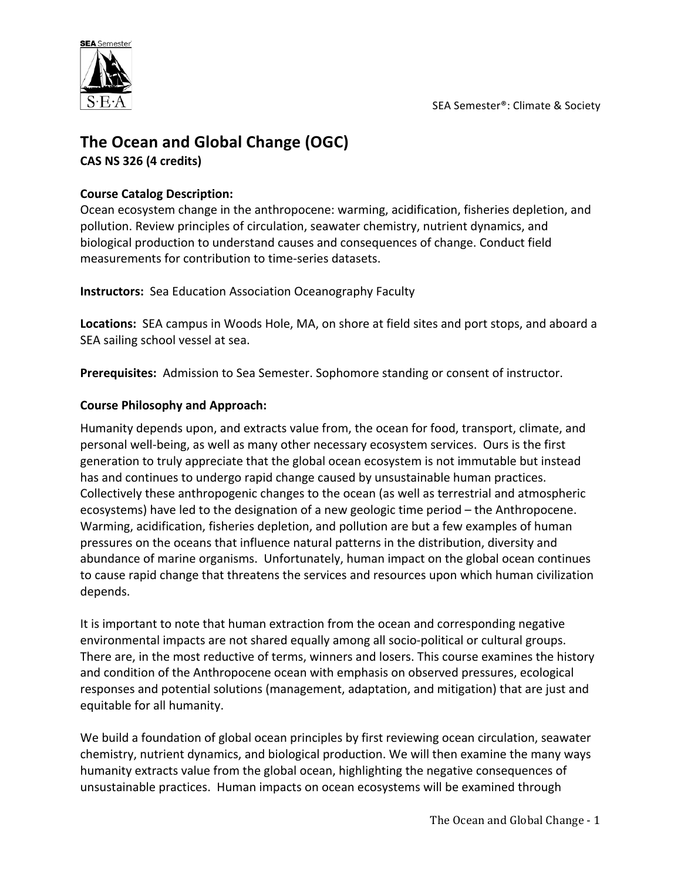

# **The Ocean and Global Change (OGC) CAS NS 326 (4 credits)**

## **Course Catalog Description:**

Ocean ecosystem change in the anthropocene: warming, acidification, fisheries depletion, and pollution. Review principles of circulation, seawater chemistry, nutrient dynamics, and biological production to understand causes and consequences of change. Conduct field measurements for contribution to time-series datasets.

**Instructors:** Sea Education Association Oceanography Faculty

Locations: SEA campus in Woods Hole, MA, on shore at field sites and port stops, and aboard a SEA sailing school vessel at sea.

Prerequisites: Admission to Sea Semester. Sophomore standing or consent of instructor.

## **Course Philosophy and Approach:**

Humanity depends upon, and extracts value from, the ocean for food, transport, climate, and personal well-being, as well as many other necessary ecosystem services. Ours is the first generation to truly appreciate that the global ocean ecosystem is not immutable but instead has and continues to undergo rapid change caused by unsustainable human practices. Collectively these anthropogenic changes to the ocean (as well as terrestrial and atmospheric ecosystems) have led to the designation of a new geologic time period – the Anthropocene. Warming, acidification, fisheries depletion, and pollution are but a few examples of human pressures on the oceans that influence natural patterns in the distribution, diversity and abundance of marine organisms. Unfortunately, human impact on the global ocean continues to cause rapid change that threatens the services and resources upon which human civilization depends. 

It is important to note that human extraction from the ocean and corresponding negative environmental impacts are not shared equally among all socio-political or cultural groups. There are, in the most reductive of terms, winners and losers. This course examines the history and condition of the Anthropocene ocean with emphasis on observed pressures, ecological responses and potential solutions (management, adaptation, and mitigation) that are just and equitable for all humanity.

We build a foundation of global ocean principles by first reviewing ocean circulation, seawater chemistry, nutrient dynamics, and biological production. We will then examine the many ways humanity extracts value from the global ocean, highlighting the negative consequences of unsustainable practices. Human impacts on ocean ecosystems will be examined through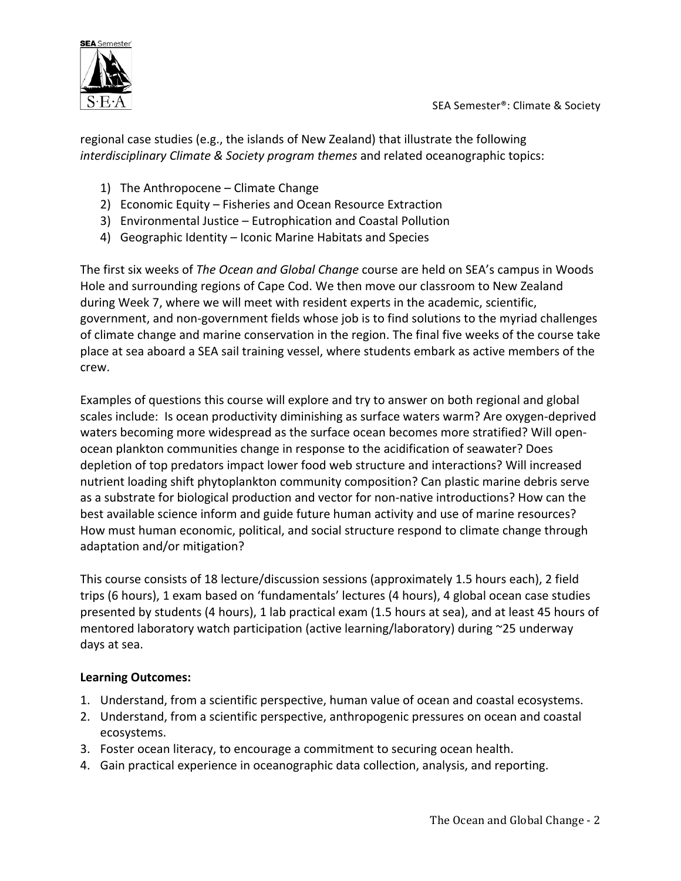regional case studies (e.g., the islands of New Zealand) that illustrate the following *interdisciplinary Climate & Society program themes* and related oceanographic topics:

- 1) The Anthropocene  $-$  Climate Change
- 2) Economic Equity Fisheries and Ocean Resource Extraction
- 3) Environmental Justice Eutrophication and Coastal Pollution
- 4) Geographic Identity Iconic Marine Habitats and Species

The first six weeks of *The Ocean and Global Change* course are held on SEA's campus in Woods Hole and surrounding regions of Cape Cod. We then move our classroom to New Zealand during Week 7, where we will meet with resident experts in the academic, scientific, government, and non-government fields whose job is to find solutions to the myriad challenges of climate change and marine conservation in the region. The final five weeks of the course take place at sea aboard a SEA sail training vessel, where students embark as active members of the crew.

Examples of questions this course will explore and try to answer on both regional and global scales include: Is ocean productivity diminishing as surface waters warm? Are oxygen-deprived waters becoming more widespread as the surface ocean becomes more stratified? Will openocean plankton communities change in response to the acidification of seawater? Does depletion of top predators impact lower food web structure and interactions? Will increased nutrient loading shift phytoplankton community composition? Can plastic marine debris serve as a substrate for biological production and vector for non-native introductions? How can the best available science inform and guide future human activity and use of marine resources? How must human economic, political, and social structure respond to climate change through adaptation and/or mitigation?

This course consists of 18 lecture/discussion sessions (approximately 1.5 hours each), 2 field trips (6 hours), 1 exam based on 'fundamentals' lectures (4 hours), 4 global ocean case studies presented by students (4 hours), 1 lab practical exam (1.5 hours at sea), and at least 45 hours of mentored laboratory watch participation (active learning/laboratory) during  $\sim$ 25 underway days at sea. 

## **Learning Outcomes:**

- 1. Understand, from a scientific perspective, human value of ocean and coastal ecosystems.
- 2. Understand, from a scientific perspective, anthropogenic pressures on ocean and coastal ecosystems.
- 3. Foster ocean literacy, to encourage a commitment to securing ocean health.
- 4. Gain practical experience in oceanographic data collection, analysis, and reporting.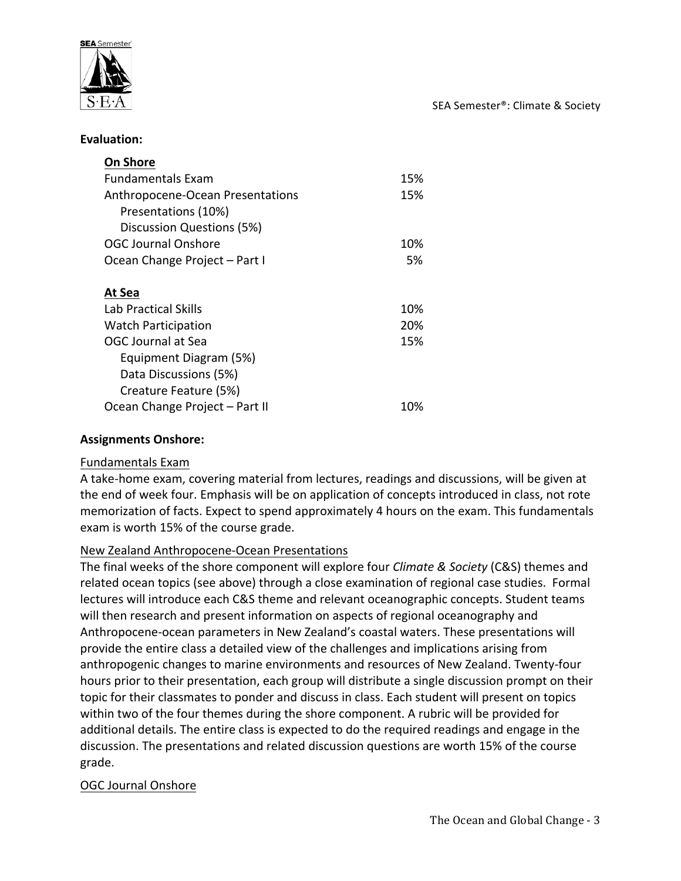

SEA Semester®: Climate & Society

#### **Evaluation:**

| <b>On Shore</b>                  |     |
|----------------------------------|-----|
| <b>Fundamentals Fxam</b>         | 15% |
| Anthropocene-Ocean Presentations | 15% |
| Presentations (10%)              |     |
| Discussion Questions (5%)        |     |
| <b>OGC Journal Onshore</b>       | 10% |
| Ocean Change Project - Part I    | 5%  |
|                                  |     |
| At Sea                           |     |
| Lab Practical Skills             | 10% |
| <b>Watch Participation</b>       | 20% |
| <b>OGC Journal at Sea</b>        | 15% |
| Equipment Diagram (5%)           |     |
| Data Discussions (5%)            |     |
| Creature Feature (5%)            |     |
| Ocean Change Project - Part II   | 10% |

### **Assignments Onshore:**

#### Fundamentals Exam

A take-home exam, covering material from lectures, readings and discussions, will be given at the end of week four. Emphasis will be on application of concepts introduced in class, not rote memorization of facts. Expect to spend approximately 4 hours on the exam. This fundamentals exam is worth 15% of the course grade.

#### New Zealand Anthropocene-Ocean Presentations

The final weeks of the shore component will explore four *Climate & Society* (C&S) themes and related ocean topics (see above) through a close examination of regional case studies. Formal lectures will introduce each C&S theme and relevant oceanographic concepts. Student teams will then research and present information on aspects of regional oceanography and Anthropocene-ocean parameters in New Zealand's coastal waters. These presentations will provide the entire class a detailed view of the challenges and implications arising from anthropogenic changes to marine environments and resources of New Zealand. Twenty-four hours prior to their presentation, each group will distribute a single discussion prompt on their topic for their classmates to ponder and discuss in class. Each student will present on topics within two of the four themes during the shore component. A rubric will be provided for additional details. The entire class is expected to do the required readings and engage in the discussion. The presentations and related discussion questions are worth 15% of the course grade.

#### OGC Journal Onshore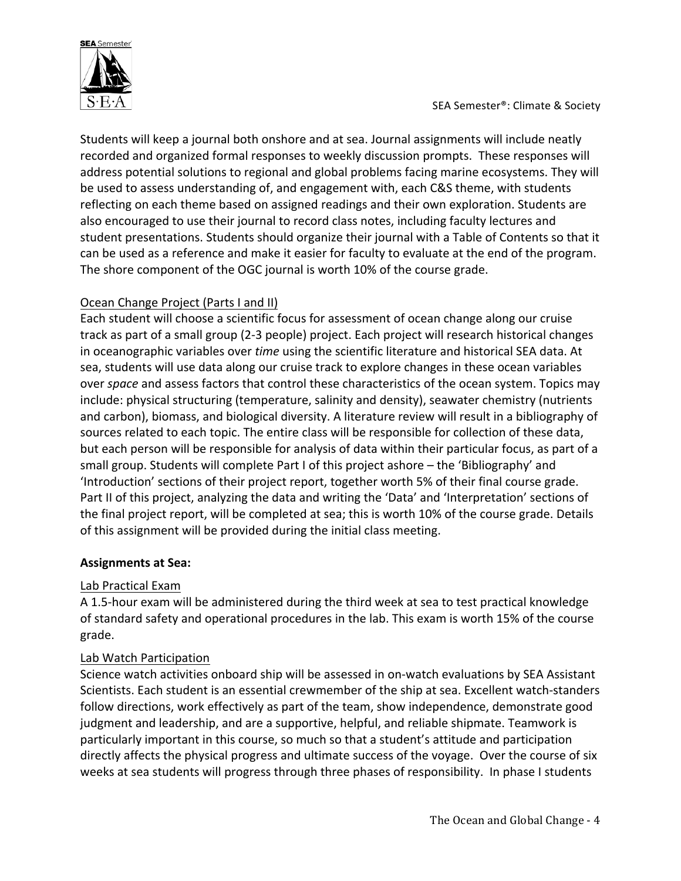

Students will keep a journal both onshore and at sea. Journal assignments will include neatly recorded and organized formal responses to weekly discussion prompts. These responses will address potential solutions to regional and global problems facing marine ecosystems. They will be used to assess understanding of, and engagement with, each C&S theme, with students reflecting on each theme based on assigned readings and their own exploration. Students are also encouraged to use their journal to record class notes, including faculty lectures and student presentations. Students should organize their journal with a Table of Contents so that it can be used as a reference and make it easier for faculty to evaluate at the end of the program. The shore component of the OGC journal is worth 10% of the course grade.

## Ocean Change Project (Parts I and II)

Each student will choose a scientific focus for assessment of ocean change along our cruise track as part of a small group (2-3 people) project. Each project will research historical changes in oceanographic variables over *time* using the scientific literature and historical SEA data. At sea, students will use data along our cruise track to explore changes in these ocean variables over *space* and assess factors that control these characteristics of the ocean system. Topics may include: physical structuring (temperature, salinity and density), seawater chemistry (nutrients and carbon), biomass, and biological diversity. A literature review will result in a bibliography of sources related to each topic. The entire class will be responsible for collection of these data, but each person will be responsible for analysis of data within their particular focus, as part of a small group. Students will complete Part I of this project ashore – the 'Bibliography' and 'Introduction' sections of their project report, together worth 5% of their final course grade. Part II of this project, analyzing the data and writing the 'Data' and 'Interpretation' sections of the final project report, will be completed at sea; this is worth 10% of the course grade. Details of this assignment will be provided during the initial class meeting.

### **Assignments at Sea:**

### Lab Practical Exam

A 1.5-hour exam will be administered during the third week at sea to test practical knowledge of standard safety and operational procedures in the lab. This exam is worth 15% of the course grade.

### Lab Watch Participation

Science watch activities onboard ship will be assessed in on-watch evaluations by SEA Assistant Scientists. Each student is an essential crewmember of the ship at sea. Excellent watch-standers follow directions, work effectively as part of the team, show independence, demonstrate good judgment and leadership, and are a supportive, helpful, and reliable shipmate. Teamwork is particularly important in this course, so much so that a student's attitude and participation directly affects the physical progress and ultimate success of the voyage. Over the course of six weeks at sea students will progress through three phases of responsibility. In phase I students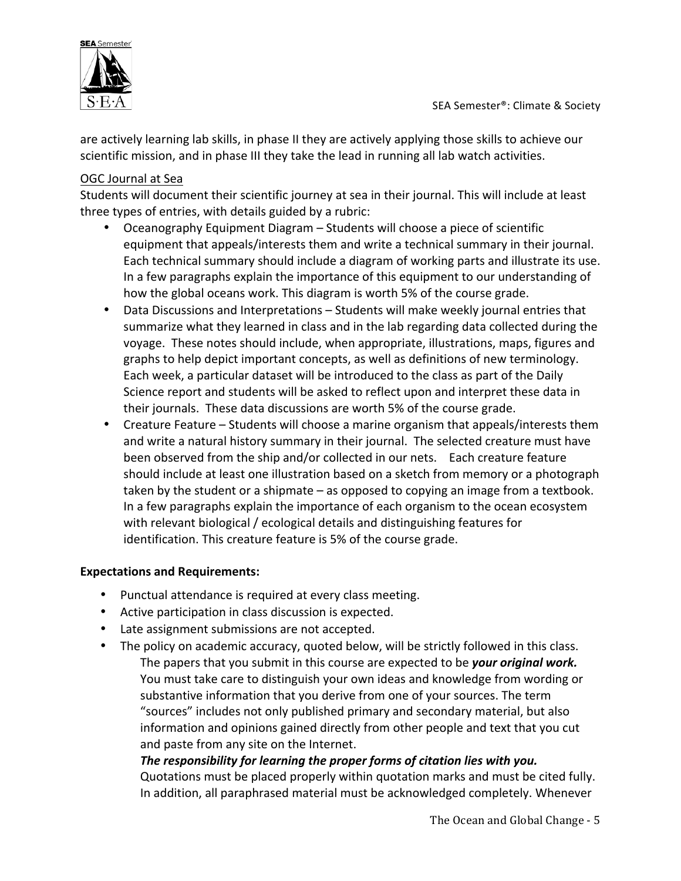

are actively learning lab skills, in phase II they are actively applying those skills to achieve our scientific mission, and in phase III they take the lead in running all lab watch activities.

## OGC Journal at Sea

Students will document their scientific journey at sea in their journal. This will include at least three types of entries, with details guided by a rubric:

- Oceanography Equipment Diagram Students will choose a piece of scientific equipment that appeals/interests them and write a technical summary in their journal. Each technical summary should include a diagram of working parts and illustrate its use. In a few paragraphs explain the importance of this equipment to our understanding of how the global oceans work. This diagram is worth 5% of the course grade.
- Data Discussions and Interpretations Students will make weekly journal entries that summarize what they learned in class and in the lab regarding data collected during the voyage. These notes should include, when appropriate, illustrations, maps, figures and graphs to help depict important concepts, as well as definitions of new terminology. Each week, a particular dataset will be introduced to the class as part of the Daily Science report and students will be asked to reflect upon and interpret these data in their journals. These data discussions are worth 5% of the course grade.
- Creature Feature Students will choose a marine organism that appeals/interests them and write a natural history summary in their journal. The selected creature must have been observed from the ship and/or collected in our nets. Each creature feature should include at least one illustration based on a sketch from memory or a photograph taken by the student or a shipmate  $-$  as opposed to copying an image from a textbook. In a few paragraphs explain the importance of each organism to the ocean ecosystem with relevant biological / ecological details and distinguishing features for identification. This creature feature is 5% of the course grade.

### **Expectations and Requirements:**

- Punctual attendance is required at every class meeting.
- Active participation in class discussion is expected.
- Late assignment submissions are not accepted.
- The policy on academic accuracy, quoted below, will be strictly followed in this class. The papers that you submit in this course are expected to be your original work. You must take care to distinguish your own ideas and knowledge from wording or substantive information that you derive from one of your sources. The term "sources" includes not only published primary and secondary material, but also information and opinions gained directly from other people and text that you cut and paste from any site on the Internet.

## The responsibility for learning the proper forms of citation lies with you.

Quotations must be placed properly within quotation marks and must be cited fully. In addition, all paraphrased material must be acknowledged completely. Whenever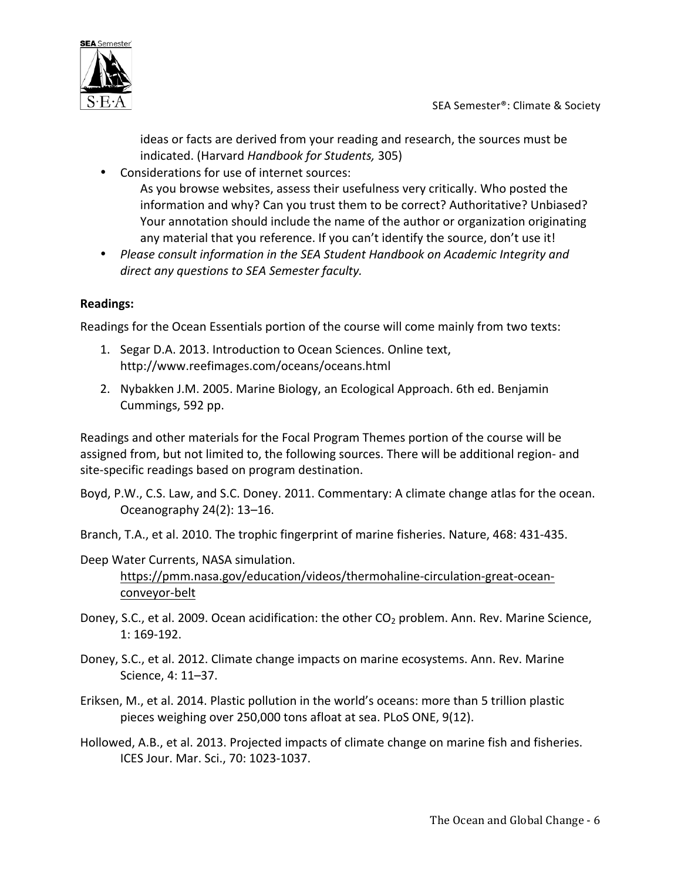ideas or facts are derived from your reading and research, the sources must be indicated. (Harvard *Handbook for Students,* 305)

• Considerations for use of internet sources: As you browse websites, assess their usefulness very critically. Who posted the information and why? Can you trust them to be correct? Authoritative? Unbiased? Your annotation should include the name of the author or organization originating any material that you reference. If you can't identify the source, don't use it!

• Please consult information in the SEA Student Handbook on Academic Integrity and direct any questions to SEA Semester faculty.

## **Readings:**

Readings for the Ocean Essentials portion of the course will come mainly from two texts:

- 1. Segar D.A. 2013. Introduction to Ocean Sciences. Online text, http://www.reefimages.com/oceans/oceans.html
- 2. Nybakken J.M. 2005. Marine Biology, an Ecological Approach. 6th ed. Benjamin Cummings, 592 pp.

Readings and other materials for the Focal Program Themes portion of the course will be assigned from, but not limited to, the following sources. There will be additional region- and site-specific readings based on program destination.

Boyd, P.W., C.S. Law, and S.C. Doney. 2011. Commentary: A climate change atlas for the ocean. Oceanography 24(2): 13–16.

Branch, T.A., et al. 2010. The trophic fingerprint of marine fisheries. Nature, 468: 431-435.

Deep Water Currents, NASA simulation. https://pmm.nasa.gov/education/videos/thermohaline-circulation-great-oceanconveyor-belt

- Doney, S.C., et al. 2009. Ocean acidification: the other CO<sub>2</sub> problem. Ann. Rev. Marine Science,  $1:169-192.$
- Doney, S.C., et al. 2012. Climate change impacts on marine ecosystems. Ann. Rev. Marine Science, 4: 11–37.
- Eriksen, M., et al. 2014. Plastic pollution in the world's oceans: more than 5 trillion plastic pieces weighing over 250,000 tons afloat at sea. PLoS ONE, 9(12).
- Hollowed, A.B., et al. 2013. Projected impacts of climate change on marine fish and fisheries. ICES Jour. Mar. Sci., 70: 1023-1037.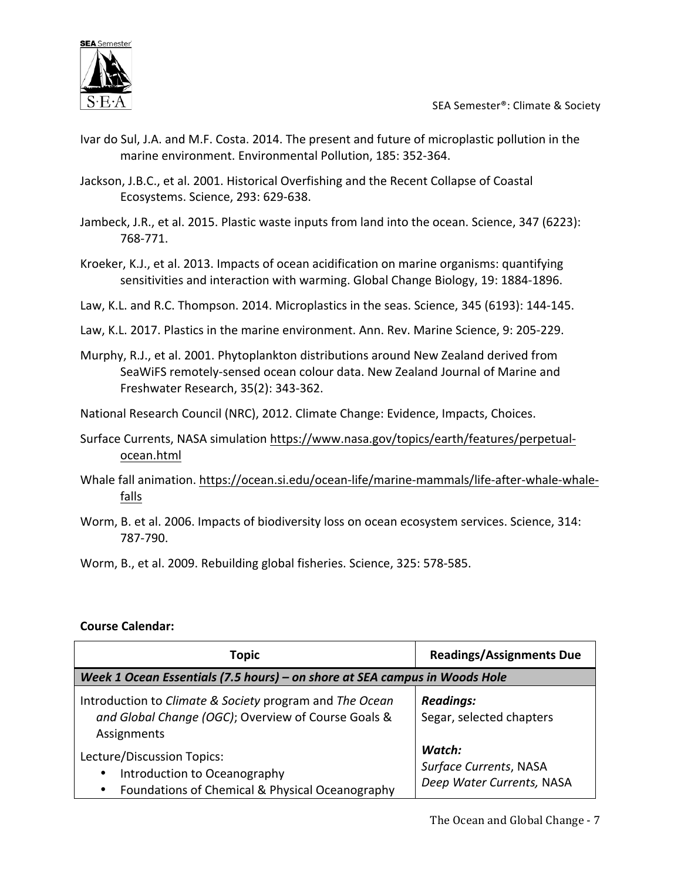

- Ivar do Sul, J.A. and M.F. Costa. 2014. The present and future of microplastic pollution in the marine environment. Environmental Pollution, 185: 352-364.
- Jackson, J.B.C., et al. 2001. Historical Overfishing and the Recent Collapse of Coastal Ecosystems. Science, 293: 629-638.
- Jambeck, J.R., et al. 2015. Plastic waste inputs from land into the ocean. Science, 347 (6223): 768-771.
- Kroeker, K.J., et al. 2013. Impacts of ocean acidification on marine organisms: quantifying sensitivities and interaction with warming. Global Change Biology, 19: 1884-1896.
- Law, K.L. and R.C. Thompson. 2014. Microplastics in the seas. Science, 345 (6193): 144-145.
- Law, K.L. 2017. Plastics in the marine environment. Ann. Rev. Marine Science, 9: 205-229.
- Murphy, R.J., et al. 2001. Phytoplankton distributions around New Zealand derived from SeaWiFS remotely-sensed ocean colour data. New Zealand Journal of Marine and Freshwater Research, 35(2): 343-362.
- National Research Council (NRC), 2012. Climate Change: Evidence, Impacts, Choices.
- Surface Currents, NASA simulation https://www.nasa.gov/topics/earth/features/perpetualocean.html
- Whale fall animation. https://ocean.si.edu/ocean-life/marine-mammals/life-after-whale-whalefalls
- Worm, B. et al. 2006. Impacts of biodiversity loss on ocean ecosystem services. Science, 314: 787-790.
- Worm, B., et al. 2009. Rebuilding global fisheries. Science, 325: 578-585.

### **Course Calendar:**

| <b>Topic</b>                                                                                                                            | <b>Readings/Assignments Due</b>                               |  |
|-----------------------------------------------------------------------------------------------------------------------------------------|---------------------------------------------------------------|--|
| Week 1 Ocean Essentials (7.5 hours) – on shore at SEA campus in Woods Hole                                                              |                                                               |  |
| Introduction to Climate & Society program and The Ocean<br>and Global Change (OGC); Overview of Course Goals &<br>Assignments           | <b>Readings:</b><br>Segar, selected chapters                  |  |
| Lecture/Discussion Topics:<br>Introduction to Oceanography<br>$\bullet$<br>Foundations of Chemical & Physical Oceanography<br>$\bullet$ | Watch:<br>Surface Currents, NASA<br>Deep Water Currents, NASA |  |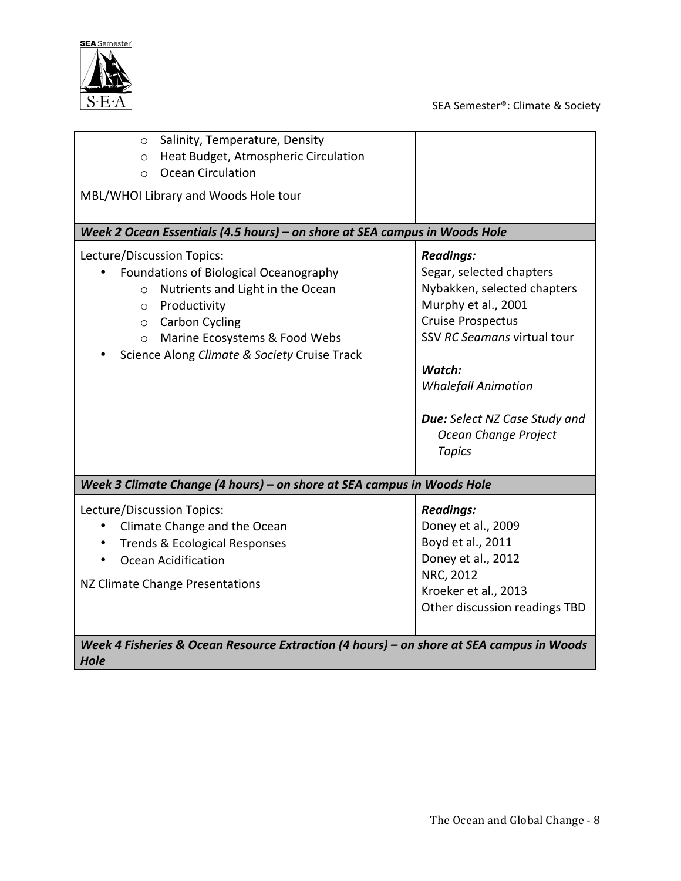



| Salinity, Temperature, Density<br>$\circ$<br>Heat Budget, Atmospheric Circulation<br>$\circ$<br><b>Ocean Circulation</b><br>$\Omega$<br>MBL/WHOI Library and Woods Hole tour                                                                                   |                                                                                                                                                                                                                                                                                 |  |
|----------------------------------------------------------------------------------------------------------------------------------------------------------------------------------------------------------------------------------------------------------------|---------------------------------------------------------------------------------------------------------------------------------------------------------------------------------------------------------------------------------------------------------------------------------|--|
| Week 2 Ocean Essentials (4.5 hours) - on shore at SEA campus in Woods Hole                                                                                                                                                                                     |                                                                                                                                                                                                                                                                                 |  |
| Lecture/Discussion Topics:<br>Foundations of Biological Oceanography<br>Nutrients and Light in the Ocean<br>$\circ$<br>Productivity<br>$\circ$<br>o Carbon Cycling<br>Marine Ecosystems & Food Webs<br>$\circ$<br>Science Along Climate & Society Cruise Track | <b>Readings:</b><br>Segar, selected chapters<br>Nybakken, selected chapters<br>Murphy et al., 2001<br><b>Cruise Prospectus</b><br>SSV RC Seamans virtual tour<br>Watch:<br><b>Whalefall Animation</b><br>Due: Select NZ Case Study and<br>Ocean Change Project<br><b>Topics</b> |  |
| Week 3 Climate Change (4 hours) - on shore at SEA campus in Woods Hole                                                                                                                                                                                         |                                                                                                                                                                                                                                                                                 |  |
| Lecture/Discussion Topics:<br>Climate Change and the Ocean<br><b>Trends &amp; Ecological Responses</b><br>$\bullet$<br>Ocean Acidification<br>NZ Climate Change Presentations                                                                                  | <b>Readings:</b><br>Doney et al., 2009<br>Boyd et al., 2011<br>Doney et al., 2012<br>NRC, 2012<br>Kroeker et al., 2013<br>Other discussion readings TBD                                                                                                                         |  |
| Week 4 Fisheries & Ocean Resource Extraction (4 hours) – on shore at SEA campus in Woods<br><b>Hole</b>                                                                                                                                                        |                                                                                                                                                                                                                                                                                 |  |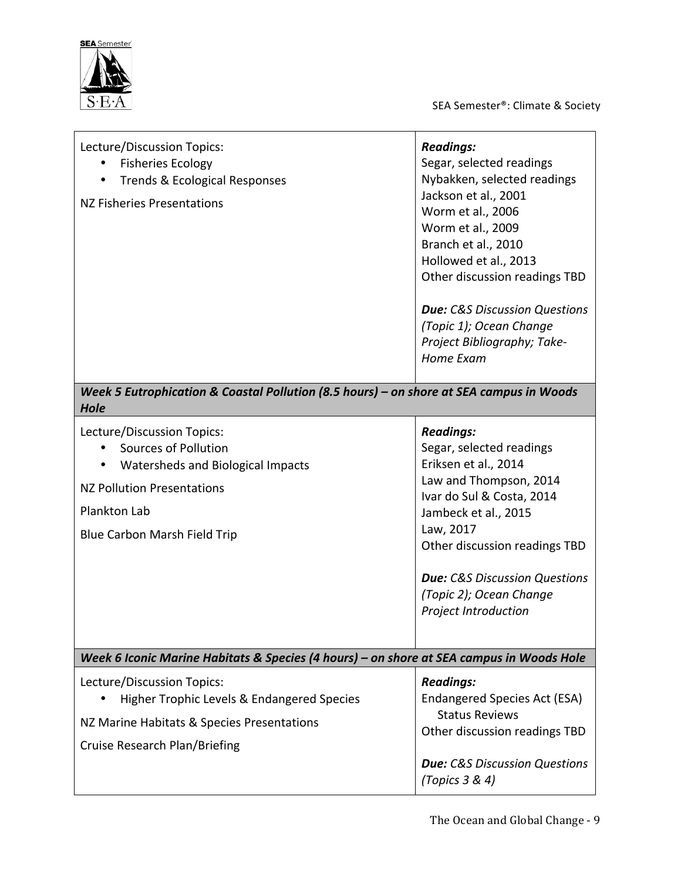

SEA Semester®: Climate & Society

| Lecture/Discussion Topics:<br><b>Fisheries Ecology</b><br><b>Trends &amp; Ecological Responses</b><br>NZ Fisheries Presentations                                             | <b>Readings:</b><br>Segar, selected readings<br>Nybakken, selected readings<br>Jackson et al., 2001<br>Worm et al., 2006<br>Worm et al., 2009<br>Branch et al., 2010<br>Hollowed et al., 2013<br>Other discussion readings TBD<br><b>Due:</b> C&S Discussion Questions<br>(Topic 1); Ocean Change<br>Project Bibliography; Take-<br>Home Exam |
|------------------------------------------------------------------------------------------------------------------------------------------------------------------------------|-----------------------------------------------------------------------------------------------------------------------------------------------------------------------------------------------------------------------------------------------------------------------------------------------------------------------------------------------|
| Week 5 Eutrophication & Coastal Pollution (8.5 hours) - on shore at SEA campus in Woods<br>Hole                                                                              |                                                                                                                                                                                                                                                                                                                                               |
| Lecture/Discussion Topics:<br><b>Sources of Pollution</b><br>Watersheds and Biological Impacts<br>NZ Pollution Presentations<br>Plankton Lab<br>Blue Carbon Marsh Field Trip | <b>Readings:</b><br>Segar, selected readings<br>Eriksen et al., 2014<br>Law and Thompson, 2014<br>Ivar do Sul & Costa, 2014<br>Jambeck et al., 2015<br>Law, 2017<br>Other discussion readings TBD<br><b>Due: C&amp;S Discussion Questions</b><br>(Topic 2); Ocean Change<br><b>Project Introduction</b>                                       |

*Week 6 Iconic Marine Habitats & Species (4 hours)* – on shore at SEA campus in Woods Hole Lecture/Discussion Topics: • Higher Trophic Levels & Endangered Species NZ Marine Habitats & Species Presentations *Readings:* Endangered Species Act (ESA) Status Reviews Other discussion readings TBD

Cruise Research Plan/Briefing

*Due: C&S Discussion Questions* 

*(Topics 3 & 4)*